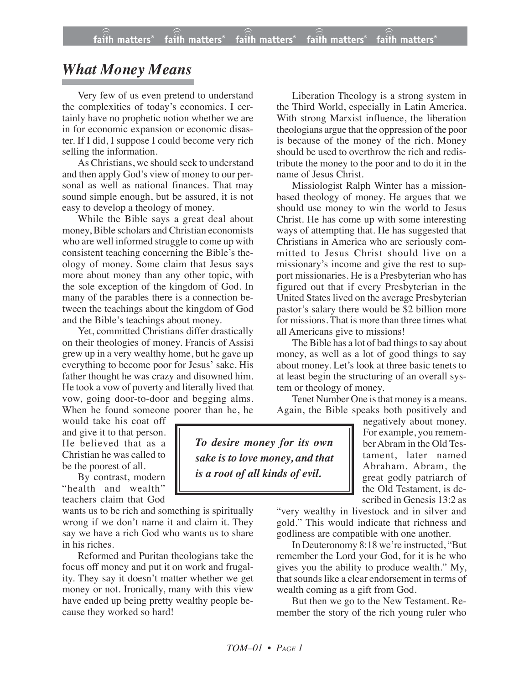## *What Money Means*

Very few of us even pretend to understand the complexities of today's economics. I certainly have no prophetic notion whether we are in for economic expansion or economic disaster. If I did, I suppose I could become very rich selling the information.

As Christians, we should seek to understand and then apply God's view of money to our personal as well as national finances. That may sound simple enough, but be assured, it is not easy to develop a theology of money.

While the Bible says a great deal about money, Bible scholars and Christian economists who are well informed struggle to come up with consistent teaching concerning the Bible's theology of money. Some claim that Jesus says more about money than any other topic, with the sole exception of the kingdom of God. In many of the parables there is a connection between the teachings about the kingdom of God and the Bible's teachings about money.

Yet, committed Christians differ drastically on their theologies of money. Francis of Assisi grew up in a very wealthy home, but he gave up everything to become poor for Jesus' sake. His father thought he was crazy and disowned him. He took a vow of poverty and literally lived that vow, going door-to-door and begging alms. When he found someone poorer than he, he

would take his coat off and give it to that person. He believed that as a Christian he was called to be the poorest of all.

By contrast, modern "health and wealth" teachers claim that God

wants us to be rich and something is spiritually wrong if we don't name it and claim it. They say we have a rich God who wants us to share in his riches.

Reformed and Puritan theologians take the focus off money and put it on work and frugality. They say it doesn't matter whether we get money or not. Ironically, many with this view have ended up being pretty wealthy people because they worked so hard!

Liberation Theology is a strong system in the Third World, especially in Latin America. With strong Marxist influence, the liberation theologians argue that the oppression of the poor is because of the money of the rich. Money should be used to overthrow the rich and redistribute the money to the poor and to do it in the name of Jesus Christ.

Missiologist Ralph Winter has a missionbased theology of money. He argues that we should use money to win the world to Jesus Christ. He has come up with some interesting ways of attempting that. He has suggested that Christians in America who are seriously committed to Jesus Christ should live on a missionary's income and give the rest to support missionaries. He is a Presbyterian who has figured out that if every Presbyterian in the United States lived on the average Presbyterian pastor's salary there would be \$2 billion more for missions. That is more than three times what all Americans give to missions!

The Bible has a lot of bad things to say about money, as well as a lot of good things to say about money. Let's look at three basic tenets to at least begin the structuring of an overall system or theology of money.

Tenet Number One is that money is a means. Again, the Bible speaks both positively and

*To desire money for its own sake is to love money, and that is a root of all kinds of evil.*

negatively about money. For example, you remember Abram in the Old Testament, later named Abraham. Abram, the great godly patriarch of the Old Testament, is described in Genesis 13:2 as

"very wealthy in livestock and in silver and gold." This would indicate that richness and godliness are compatible with one another.

In Deuteronomy 8:18 we're instructed, "But remember the Lord your God, for it is he who gives you the ability to produce wealth." My, that sounds like a clear endorsement in terms of wealth coming as a gift from God.

But then we go to the New Testament. Remember the story of the rich young ruler who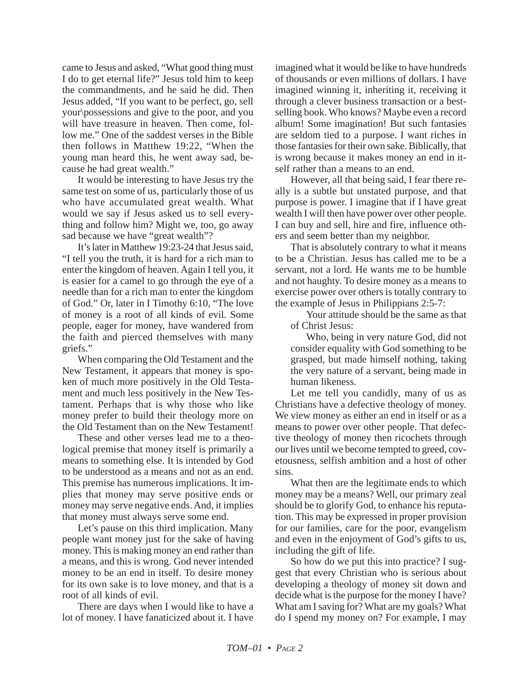came to Jesus and asked, "What good thing must I do to get eternal life?" Jesus told him to keep the commandments, and he said he did. Then Jesus added, "If you want to be perfect, go, sell your\possessions and give to the poor, and you will have treasure in heaven. Then come, follow me." One of the saddest verses in the Bible then follows in Matthew 19:22, "When the young man heard this, he went away sad, because he had great wealth."

It would be interesting to have Jesus try the same test on some of us, particularly those of us who have accumulated great wealth. What would we say if Jesus asked us to sell everything and follow him? Might we, too, go away sad because we have "great wealth"?

It's later in Matthew 19:23-24 that Jesus said, "I tell you the truth, it is hard for a rich man to enter the kingdom of heaven. Again I tell you, it is easier for a camel to go through the eye of a needle than for a rich man to enter the kingdom of God." Or, later in I Timothy 6:10*,* "The love of money is a root of all kinds of evil. Some people, eager for money, have wandered from the faith and pierced themselves with many griefs."

When comparing the Old Testament and the New Testament, it appears that money is spoken of much more positively in the Old Testament and much less positively in the New Testament. Perhaps that is why those who like money prefer to build their theology more on the Old Testament than on the New Testament!

These and other verses lead me to a theological premise that money itself is primarily a means to something else. It is intended by God to be understood as a means and not as an end. This premise has numerous implications. It implies that money may serve positive ends or money may serve negative ends. And, it implies that money must always serve some end.

Let's pause on this third implication. Many people want money just for the sake of having money. This is making money an end rather than a means, and this is wrong. God never intended money to be an end in itself. To desire money for its own sake is to love money, and that is a root of all kinds of evil.

There are days when I would like to have a lot of money. I have fanaticized about it. I have imagined what it would be like to have hundreds of thousands or even millions of dollars. I have imagined winning it, inheriting it, receiving it through a clever business transaction or a bestselling book. Who knows? Maybe even a record album! Some imagination! But such fantasies are seldom tied to a purpose. I want riches in those fantasies for their own sake. Biblically, that is wrong because it makes money an end in itself rather than a means to an end.

However, all that being said, I fear there really is a subtle but unstated purpose, and that purpose is power. I imagine that if I have great wealth I will then have power over other people. I can buy and sell, hire and fire, influence others and seem better than my neighbor.

That is absolutely contrary to what it means to be a Christian. Jesus has called me to be a servant, not a lord. He wants me to be humble and not haughty. To desire money as a means to exercise power over others is totally contrary to the example of Jesus in Philippians 2:5-7:

Your attitude should be the same as that of Christ Jesus:

Who, being in very nature God, did not consider equality with God something to be grasped, but made himself nothing, taking the very nature of a servant, being made in human likeness.

Let me tell you candidly, many of us as Christians have a defective theology of money. We view money as either an end in itself or as a means to power over other people. That defective theology of money then ricochets through our lives until we become tempted to greed, covetousness, selfish ambition and a host of other sins.

What then are the legitimate ends to which money may be a means? Well, our primary zeal should be to glorify God, to enhance his reputation. This may be expressed in proper provision for our families, care for the poor, evangelism and even in the enjoyment of God's gifts to us, including the gift of life.

So how do we put this into practice? I suggest that every Christian who is serious about developing a theology of money sit down and decide what is the purpose for the money I have? What am I saving for? What are my goals? What do I spend my money on? For example, I may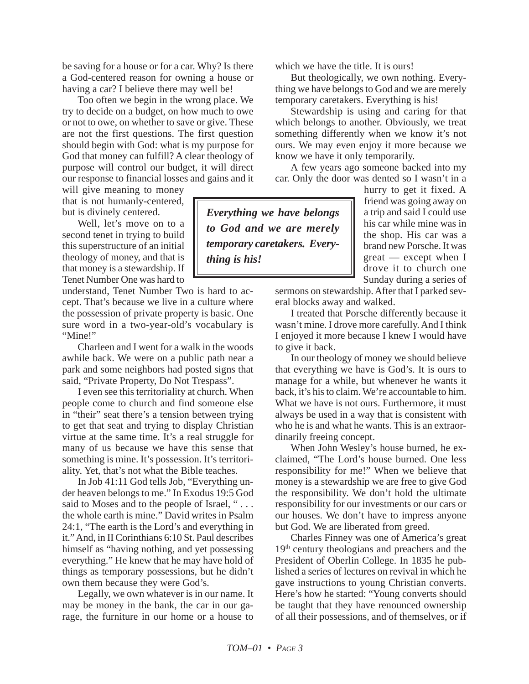be saving for a house or for a car. Why? Is there a God-centered reason for owning a house or having a car? I believe there may well be!

Too often we begin in the wrong place. We try to decide on a budget, on how much to owe or not to owe, on whether to save or give. These are not the first questions. The first question should begin with God: what is my purpose for God that money can fulfill? A clear theology of purpose will control our budget, it will direct our response to financial losses and gains and it

will give meaning to money that is not humanly-centered, but is divinely centered.

Well, let's move on to a second tenet in trying to build this superstructure of an initial theology of money, and that is that money is a stewardship. If Tenet Number One was hard to

understand, Tenet Number Two is hard to accept. That's because we live in a culture where the possession of private property is basic. One sure word in a two-year-old's vocabulary is "Mine!"

Charleen and I went for a walk in the woods awhile back. We were on a public path near a park and some neighbors had posted signs that said, "Private Property, Do Not Trespass".

I even see this territoriality at church. When people come to church and find someone else in "their" seat there's a tension between trying to get that seat and trying to display Christian virtue at the same time. It's a real struggle for many of us because we have this sense that something is mine. It's possession. It's territoriality. Yet, that's not what the Bible teaches.

In Job 41:11 God tells Job, "Everything under heaven belongs to me." In Exodus 19:5 God said to Moses and to the people of Israel, "... the whole earth is mine." David writes in Psalm 24:1, "The earth is the Lord's and everything in it." And, in II Corinthians 6:10 St. Paul describes himself as "having nothing, and yet possessing everything." He knew that he may have hold of things as temporary possessions, but he didn't own them because they were God's.

Legally, we own whatever is in our name. It may be money in the bank, the car in our garage, the furniture in our home or a house to which we have the title. It is ours!

But theologically, we own nothing. Everything we have belongs to God and we are merely temporary caretakers. Everything is his!

Stewardship is using and caring for that which belongs to another. Obviously, we treat something differently when we know it's not ours. We may even enjoy it more because we know we have it only temporarily.

A few years ago someone backed into my car. Only the door was dented so I wasn't in a

*Everything we have belongs to God and we are merely temporary caretakers. Everything is his!*

hurry to get it fixed. A friend was going away on a trip and said I could use his car while mine was in the shop. His car was a brand new Porsche. It was great — except when I drove it to church one Sunday during a series of

sermons on stewardship. After that I parked several blocks away and walked.

I treated that Porsche differently because it wasn't mine. I drove more carefully. And I think I enjoyed it more because I knew I would have to give it back.

In our theology of money we should believe that everything we have is God's. It is ours to manage for a while, but whenever he wants it back, it's his to claim. We're accountable to him. What we have is not ours. Furthermore, it must always be used in a way that is consistent with who he is and what he wants. This is an extraordinarily freeing concept.

When John Wesley's house burned, he exclaimed, "The Lord's house burned. One less responsibility for me!" When we believe that money is a stewardship we are free to give God the responsibility. We don't hold the ultimate responsibility for our investments or our cars or our houses. We don't have to impress anyone but God. We are liberated from greed.

Charles Finney was one of America's great 19<sup>th</sup> century theologians and preachers and the President of Oberlin College. In 1835 he published a series of lectures on revival in which he gave instructions to young Christian converts. Here's how he started: "Young converts should be taught that they have renounced ownership of all their possessions, and of themselves, or if